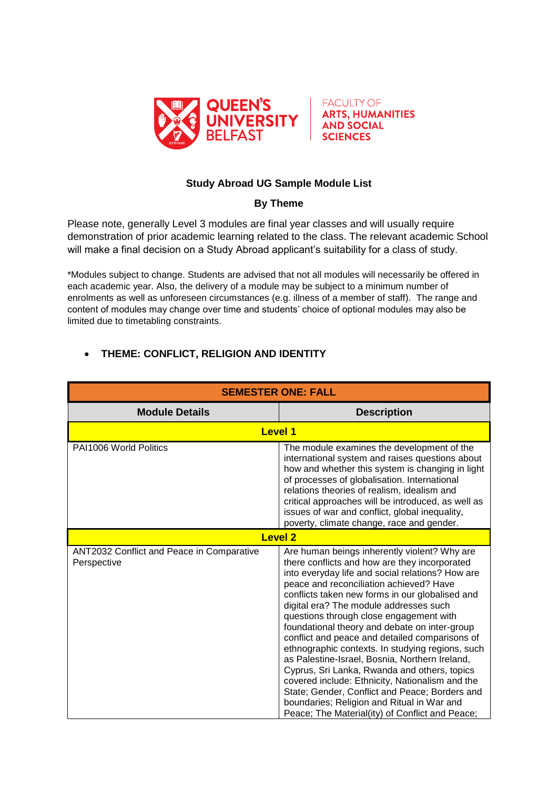



## **Study Abroad UG Sample Module List**

## **By Theme**

Please note, generally Level 3 modules are final year classes and will usually require demonstration of prior academic learning related to the class. The relevant academic School will make a final decision on a Study Abroad applicant's suitability for a class of study.

\*Modules subject to change. Students are advised that not all modules will necessarily be offered in each academic year. Also, the delivery of a module may be subject to a minimum number of enrolments as well as unforeseen circumstances (e.g. illness of a member of staff). The range and content of modules may change over time and students' choice of optional modules may also be limited due to timetabling constraints.

## **THEME: CONFLICT, RELIGION AND IDENTITY**

| <b>SEMESTER ONE: FALL</b>                                |                                                                                                                                                                                                                                                                                                                                                                                                                                                                                                                                                                                                                                                                                                                                                                                                     |
|----------------------------------------------------------|-----------------------------------------------------------------------------------------------------------------------------------------------------------------------------------------------------------------------------------------------------------------------------------------------------------------------------------------------------------------------------------------------------------------------------------------------------------------------------------------------------------------------------------------------------------------------------------------------------------------------------------------------------------------------------------------------------------------------------------------------------------------------------------------------------|
| <b>Module Details</b>                                    | <b>Description</b>                                                                                                                                                                                                                                                                                                                                                                                                                                                                                                                                                                                                                                                                                                                                                                                  |
| <b>Level 1</b>                                           |                                                                                                                                                                                                                                                                                                                                                                                                                                                                                                                                                                                                                                                                                                                                                                                                     |
| PAI1006 World Politics                                   | The module examines the development of the<br>international system and raises questions about<br>how and whether this system is changing in light<br>of processes of globalisation. International<br>relations theories of realism, idealism and<br>critical approaches will be introduced, as well as<br>issues of war and conflict, global inequality,<br>poverty, climate change, race and gender.                                                                                                                                                                                                                                                                                                                                                                                               |
| <b>Level 2</b>                                           |                                                                                                                                                                                                                                                                                                                                                                                                                                                                                                                                                                                                                                                                                                                                                                                                     |
| ANT2032 Conflict and Peace in Comparative<br>Perspective | Are human beings inherently violent? Why are<br>there conflicts and how are they incorporated<br>into everyday life and social relations? How are<br>peace and reconciliation achieved? Have<br>conflicts taken new forms in our globalised and<br>digital era? The module addresses such<br>questions through close engagement with<br>foundational theory and debate on inter-group<br>conflict and peace and detailed comparisons of<br>ethnographic contexts. In studying regions, such<br>as Palestine-Israel, Bosnia, Northern Ireland,<br>Cyprus, Sri Lanka, Rwanda and others, topics<br>covered include: Ethnicity, Nationalism and the<br>State; Gender, Conflict and Peace; Borders and<br>boundaries; Religion and Ritual in War and<br>Peace; The Material(ity) of Conflict and Peace; |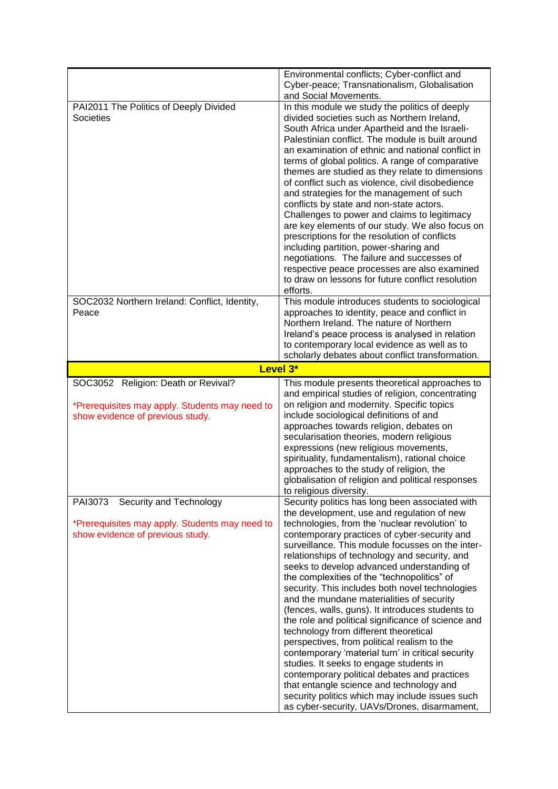|                                                                                                                           | Environmental conflicts; Cyber-conflict and<br>Cyber-peace; Transnationalism, Globalisation<br>and Social Movements.                                                                                                                                                                                                                                                                                                                                                                                                                                                                                                                                                                                                                                                                                                                                                                                                                                                                               |
|---------------------------------------------------------------------------------------------------------------------------|----------------------------------------------------------------------------------------------------------------------------------------------------------------------------------------------------------------------------------------------------------------------------------------------------------------------------------------------------------------------------------------------------------------------------------------------------------------------------------------------------------------------------------------------------------------------------------------------------------------------------------------------------------------------------------------------------------------------------------------------------------------------------------------------------------------------------------------------------------------------------------------------------------------------------------------------------------------------------------------------------|
| PAI2011 The Politics of Deeply Divided<br><b>Societies</b>                                                                | In this module we study the politics of deeply<br>divided societies such as Northern Ireland,<br>South Africa under Apartheid and the Israeli-<br>Palestinian conflict. The module is built around<br>an examination of ethnic and national conflict in<br>terms of global politics. A range of comparative<br>themes are studied as they relate to dimensions<br>of conflict such as violence, civil disobedience<br>and strategies for the management of such<br>conflicts by state and non-state actors.<br>Challenges to power and claims to legitimacy<br>are key elements of our study. We also focus on<br>prescriptions for the resolution of conflicts<br>including partition, power-sharing and<br>negotiations. The failure and successes of<br>respective peace processes are also examined<br>to draw on lessons for future conflict resolution<br>efforts.                                                                                                                           |
| SOC2032 Northern Ireland: Conflict, Identity,<br>Peace                                                                    | This module introduces students to sociological<br>approaches to identity, peace and conflict in<br>Northern Ireland. The nature of Northern<br>Ireland's peace process is analysed in relation<br>to contemporary local evidence as well as to<br>scholarly debates about conflict transformation.                                                                                                                                                                                                                                                                                                                                                                                                                                                                                                                                                                                                                                                                                                |
|                                                                                                                           | Level 3*                                                                                                                                                                                                                                                                                                                                                                                                                                                                                                                                                                                                                                                                                                                                                                                                                                                                                                                                                                                           |
| SOC3052 Religion: Death or Revival?<br>*Prerequisites may apply. Students may need to<br>show evidence of previous study. | This module presents theoretical approaches to<br>and empirical studies of religion, concentrating<br>on religion and modernity. Specific topics<br>include sociological definitions of and<br>approaches towards religion, debates on<br>secularisation theories, modern religious<br>expressions (new religious movements,<br>spirituality, fundamentalism), rational choice<br>approaches to the study of religion, the<br>globalisation of religion and political responses<br>to religious diversity.                                                                                                                                                                                                                                                                                                                                                                                                                                                                                         |
| Security and Technology<br>PAI3073<br>*Prerequisites may apply. Students may need to<br>show evidence of previous study.  | Security politics has long been associated with<br>the development, use and regulation of new<br>technologies, from the 'nuclear revolution' to<br>contemporary practices of cyber-security and<br>surveillance. This module focusses on the inter-<br>relationships of technology and security, and<br>seeks to develop advanced understanding of<br>the complexities of the "technopolitics" of<br>security. This includes both novel technologies<br>and the mundane materialities of security<br>(fences, walls, guns). It introduces students to<br>the role and political significance of science and<br>technology from different theoretical<br>perspectives, from political realism to the<br>contemporary 'material turn' in critical security<br>studies. It seeks to engage students in<br>contemporary political debates and practices<br>that entangle science and technology and<br>security politics which may include issues such<br>as cyber-security, UAVs/Drones, disarmament, |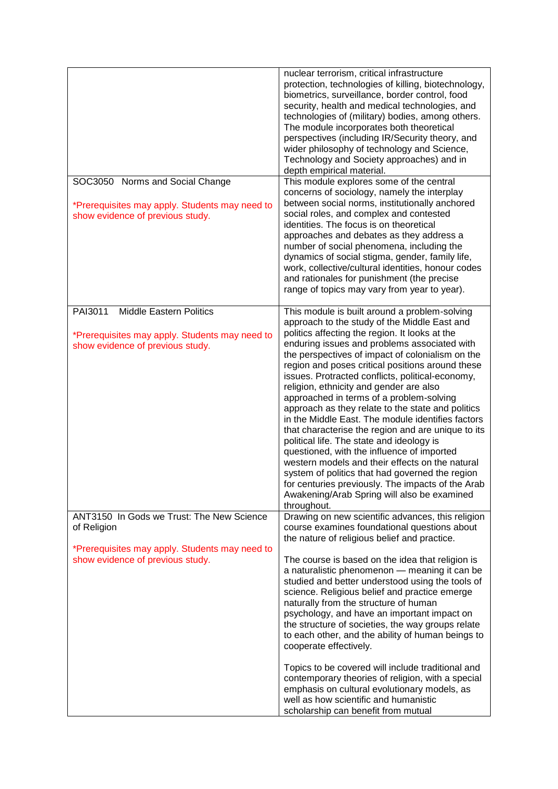|                                                                                                                                                | nuclear terrorism, critical infrastructure<br>protection, technologies of killing, biotechnology,<br>biometrics, surveillance, border control, food<br>security, health and medical technologies, and<br>technologies of (military) bodies, among others.<br>The module incorporates both theoretical<br>perspectives (including IR/Security theory, and<br>wider philosophy of technology and Science,<br>Technology and Society approaches) and in<br>depth empirical material.                                                                                                                                                                                                                                                                                                                                                                                                                                                      |
|------------------------------------------------------------------------------------------------------------------------------------------------|----------------------------------------------------------------------------------------------------------------------------------------------------------------------------------------------------------------------------------------------------------------------------------------------------------------------------------------------------------------------------------------------------------------------------------------------------------------------------------------------------------------------------------------------------------------------------------------------------------------------------------------------------------------------------------------------------------------------------------------------------------------------------------------------------------------------------------------------------------------------------------------------------------------------------------------|
| SOC3050 Norms and Social Change<br>*Prerequisites may apply. Students may need to<br>show evidence of previous study.                          | This module explores some of the central<br>concerns of sociology, namely the interplay<br>between social norms, institutionally anchored<br>social roles, and complex and contested<br>identities. The focus is on theoretical<br>approaches and debates as they address a<br>number of social phenomena, including the<br>dynamics of social stigma, gender, family life,<br>work, collective/cultural identities, honour codes<br>and rationales for punishment (the precise<br>range of topics may vary from year to year).                                                                                                                                                                                                                                                                                                                                                                                                        |
| PAI3011<br><b>Middle Eastern Politics</b><br>*Prerequisites may apply. Students may need to<br>show evidence of previous study.                | This module is built around a problem-solving<br>approach to the study of the Middle East and<br>politics affecting the region. It looks at the<br>enduring issues and problems associated with<br>the perspectives of impact of colonialism on the<br>region and poses critical positions around these<br>issues. Protracted conflicts, political-economy,<br>religion, ethnicity and gender are also<br>approached in terms of a problem-solving<br>approach as they relate to the state and politics<br>in the Middle East. The module identifies factors<br>that characterise the region and are unique to its<br>political life. The state and ideology is<br>questioned, with the influence of imported<br>western models and their effects on the natural<br>system of politics that had governed the region<br>for centuries previously. The impacts of the Arab<br>Awakening/Arab Spring will also be examined<br>throughout. |
| ANT3150 In Gods we Trust: The New Science<br>of Religion<br>*Prerequisites may apply. Students may need to<br>show evidence of previous study. | Drawing on new scientific advances, this religion<br>course examines foundational questions about<br>the nature of religious belief and practice.<br>The course is based on the idea that religion is                                                                                                                                                                                                                                                                                                                                                                                                                                                                                                                                                                                                                                                                                                                                  |
|                                                                                                                                                | a naturalistic phenomenon - meaning it can be<br>studied and better understood using the tools of<br>science. Religious belief and practice emerge<br>naturally from the structure of human<br>psychology, and have an important impact on<br>the structure of societies, the way groups relate<br>to each other, and the ability of human beings to<br>cooperate effectively.<br>Topics to be covered will include traditional and<br>contemporary theories of religion, with a special<br>emphasis on cultural evolutionary models, as<br>well as how scientific and humanistic<br>scholarship can benefit from mutual                                                                                                                                                                                                                                                                                                               |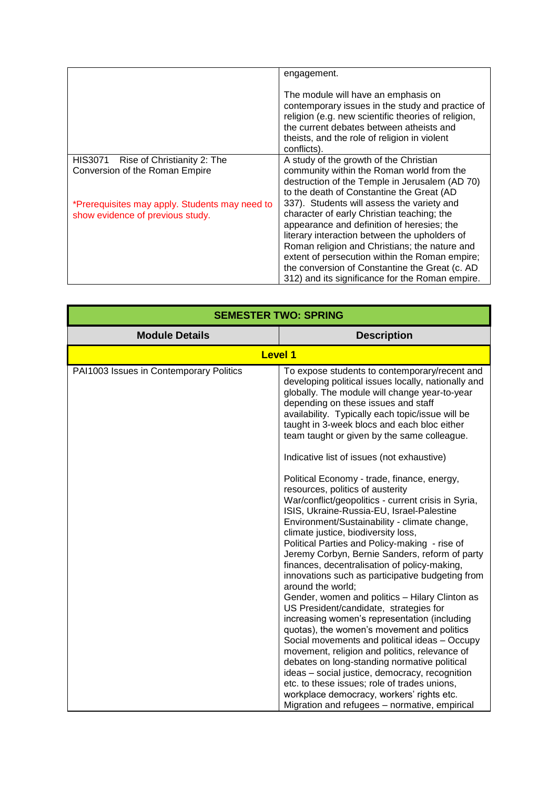|                                                                                    | engagement.                                                                                                                                                                                                                                                                                                                                                                                     |
|------------------------------------------------------------------------------------|-------------------------------------------------------------------------------------------------------------------------------------------------------------------------------------------------------------------------------------------------------------------------------------------------------------------------------------------------------------------------------------------------|
|                                                                                    | The module will have an emphasis on<br>contemporary issues in the study and practice of<br>religion (e.g. new scientific theories of religion,<br>the current debates between atheists and<br>theists, and the role of religion in violent<br>conflicts).                                                                                                                                       |
| HIS3071 Rise of Christianity 2: The                                                | A study of the growth of the Christian                                                                                                                                                                                                                                                                                                                                                          |
| Conversion of the Roman Empire                                                     | community within the Roman world from the<br>destruction of the Temple in Jerusalem (AD 70)<br>to the death of Constantine the Great (AD                                                                                                                                                                                                                                                        |
| *Prerequisites may apply. Students may need to<br>show evidence of previous study. | 337). Students will assess the variety and<br>character of early Christian teaching; the<br>appearance and definition of heresies; the<br>literary interaction between the upholders of<br>Roman religion and Christians; the nature and<br>extent of persecution within the Roman empire;<br>the conversion of Constantine the Great (c. AD<br>312) and its significance for the Roman empire. |

| <b>SEMESTER TWO: SPRING</b>             |                                                                                                                                                                                                                                                                                                                                                                                                                                                                                                                                                                                                                                                                                                                                                                                                                                                                                                                                                                                                                                                                                                                                                                                                                                                                                                      |
|-----------------------------------------|------------------------------------------------------------------------------------------------------------------------------------------------------------------------------------------------------------------------------------------------------------------------------------------------------------------------------------------------------------------------------------------------------------------------------------------------------------------------------------------------------------------------------------------------------------------------------------------------------------------------------------------------------------------------------------------------------------------------------------------------------------------------------------------------------------------------------------------------------------------------------------------------------------------------------------------------------------------------------------------------------------------------------------------------------------------------------------------------------------------------------------------------------------------------------------------------------------------------------------------------------------------------------------------------------|
| <b>Module Details</b>                   | <b>Description</b>                                                                                                                                                                                                                                                                                                                                                                                                                                                                                                                                                                                                                                                                                                                                                                                                                                                                                                                                                                                                                                                                                                                                                                                                                                                                                   |
|                                         | <b>Level 1</b>                                                                                                                                                                                                                                                                                                                                                                                                                                                                                                                                                                                                                                                                                                                                                                                                                                                                                                                                                                                                                                                                                                                                                                                                                                                                                       |
| PAI1003 Issues in Contemporary Politics | To expose students to contemporary/recent and<br>developing political issues locally, nationally and<br>globally. The module will change year-to-year<br>depending on these issues and staff<br>availability. Typically each topic/issue will be<br>taught in 3-week blocs and each bloc either<br>team taught or given by the same colleague.<br>Indicative list of issues (not exhaustive)<br>Political Economy - trade, finance, energy,<br>resources, politics of austerity<br>War/conflict/geopolitics - current crisis in Syria,<br>ISIS, Ukraine-Russia-EU, Israel-Palestine<br>Environment/Sustainability - climate change,<br>climate justice, biodiversity loss,<br>Political Parties and Policy-making - rise of<br>Jeremy Corbyn, Bernie Sanders, reform of party<br>finances, decentralisation of policy-making,<br>innovations such as participative budgeting from<br>around the world:<br>Gender, women and politics - Hilary Clinton as<br>US President/candidate, strategies for<br>increasing women's representation (including<br>quotas), the women's movement and politics<br>Social movements and political ideas - Occupy<br>movement, religion and politics, relevance of<br>debates on long-standing normative political<br>ideas - social justice, democracy, recognition |
|                                         | etc. to these issues; role of trades unions,<br>workplace democracy, workers' rights etc.                                                                                                                                                                                                                                                                                                                                                                                                                                                                                                                                                                                                                                                                                                                                                                                                                                                                                                                                                                                                                                                                                                                                                                                                            |
|                                         | Migration and refugees - normative, empirical                                                                                                                                                                                                                                                                                                                                                                                                                                                                                                                                                                                                                                                                                                                                                                                                                                                                                                                                                                                                                                                                                                                                                                                                                                                        |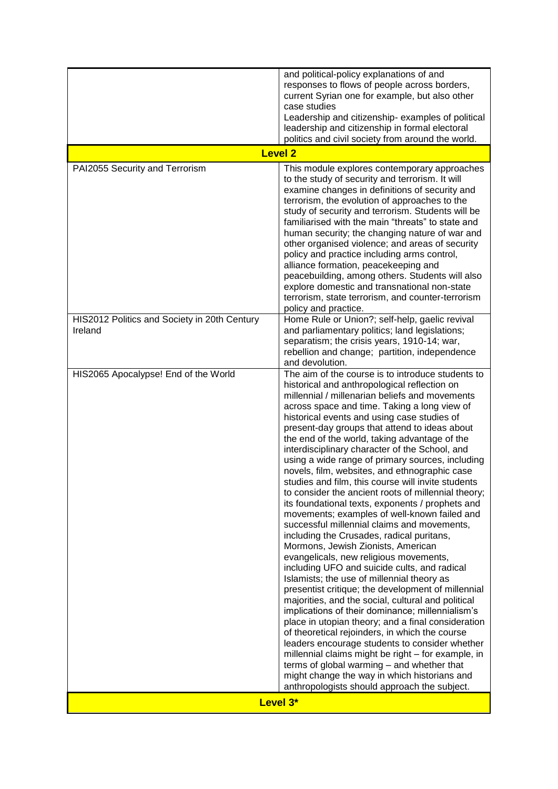|                                                         | and political-policy explanations of and<br>responses to flows of people across borders,<br>current Syrian one for example, but also other<br>case studies<br>Leadership and citizenship- examples of political<br>leadership and citizenship in formal electoral<br>politics and civil society from around the world.                                                                                                                                                                                                                                                                                                                                                                                                                                                                                                                                                                                                                                                                                                                                                                                                                                                                                                                                                                                                                                                                                                                                                                                                               |
|---------------------------------------------------------|--------------------------------------------------------------------------------------------------------------------------------------------------------------------------------------------------------------------------------------------------------------------------------------------------------------------------------------------------------------------------------------------------------------------------------------------------------------------------------------------------------------------------------------------------------------------------------------------------------------------------------------------------------------------------------------------------------------------------------------------------------------------------------------------------------------------------------------------------------------------------------------------------------------------------------------------------------------------------------------------------------------------------------------------------------------------------------------------------------------------------------------------------------------------------------------------------------------------------------------------------------------------------------------------------------------------------------------------------------------------------------------------------------------------------------------------------------------------------------------------------------------------------------------|
| <b>Level 2</b>                                          |                                                                                                                                                                                                                                                                                                                                                                                                                                                                                                                                                                                                                                                                                                                                                                                                                                                                                                                                                                                                                                                                                                                                                                                                                                                                                                                                                                                                                                                                                                                                      |
| PAI2055 Security and Terrorism                          | This module explores contemporary approaches<br>to the study of security and terrorism. It will<br>examine changes in definitions of security and<br>terrorism, the evolution of approaches to the<br>study of security and terrorism. Students will be<br>familiarised with the main "threats" to state and<br>human security; the changing nature of war and<br>other organised violence; and areas of security<br>policy and practice including arms control,<br>alliance formation, peacekeeping and<br>peacebuilding, among others. Students will also<br>explore domestic and transnational non-state<br>terrorism, state terrorism, and counter-terrorism<br>policy and practice.                                                                                                                                                                                                                                                                                                                                                                                                                                                                                                                                                                                                                                                                                                                                                                                                                                             |
| HIS2012 Politics and Society in 20th Century<br>Ireland | Home Rule or Union?; self-help, gaelic revival<br>and parliamentary politics; land legislations;<br>separatism; the crisis years, 1910-14; war,<br>rebellion and change; partition, independence<br>and devolution.                                                                                                                                                                                                                                                                                                                                                                                                                                                                                                                                                                                                                                                                                                                                                                                                                                                                                                                                                                                                                                                                                                                                                                                                                                                                                                                  |
| HIS2065 Apocalypse! End of the World                    | The aim of the course is to introduce students to<br>historical and anthropological reflection on<br>millennial / millenarian beliefs and movements<br>across space and time. Taking a long view of<br>historical events and using case studies of<br>present-day groups that attend to ideas about<br>the end of the world, taking advantage of the<br>interdisciplinary character of the School, and<br>using a wide range of primary sources, including<br>novels, film, websites, and ethnographic case<br>studies and film, this course will invite students<br>to consider the ancient roots of millennial theory;<br>its foundational texts, exponents / prophets and<br>movements; examples of well-known failed and<br>successful millennial claims and movements,<br>including the Crusades, radical puritans,<br>Mormons, Jewish Zionists, American<br>evangelicals, new religious movements,<br>including UFO and suicide cults, and radical<br>Islamists; the use of millennial theory as<br>presentist critique; the development of millennial<br>majorities, and the social, cultural and political<br>implications of their dominance; millennialism's<br>place in utopian theory; and a final consideration<br>of theoretical rejoinders, in which the course<br>leaders encourage students to consider whether<br>millennial claims might be right - for example, in<br>terms of global warming - and whether that<br>might change the way in which historians and<br>anthropologists should approach the subject. |
| Level 3*                                                |                                                                                                                                                                                                                                                                                                                                                                                                                                                                                                                                                                                                                                                                                                                                                                                                                                                                                                                                                                                                                                                                                                                                                                                                                                                                                                                                                                                                                                                                                                                                      |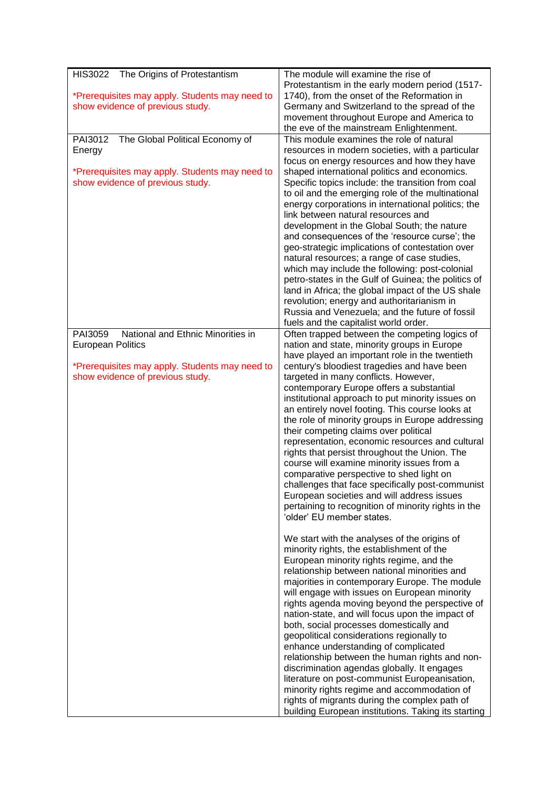| <b>HIS3022</b><br>The Origins of Protestantism                                     | The module will examine the rise of                                                         |
|------------------------------------------------------------------------------------|---------------------------------------------------------------------------------------------|
|                                                                                    | Protestantism in the early modern period (1517-                                             |
| *Prerequisites may apply. Students may need to<br>show evidence of previous study. | 1740), from the onset of the Reformation in<br>Germany and Switzerland to the spread of the |
|                                                                                    | movement throughout Europe and America to                                                   |
|                                                                                    | the eve of the mainstream Enlightenment.                                                    |
| The Global Political Economy of<br>PAI3012                                         | This module examines the role of natural                                                    |
| Energy                                                                             | resources in modern societies, with a particular                                            |
|                                                                                    | focus on energy resources and how they have                                                 |
| *Prerequisites may apply. Students may need to                                     | shaped international politics and economics.                                                |
| show evidence of previous study.                                                   | Specific topics include: the transition from coal                                           |
|                                                                                    | to oil and the emerging role of the multinational                                           |
|                                                                                    | energy corporations in international politics; the<br>link between natural resources and    |
|                                                                                    | development in the Global South; the nature                                                 |
|                                                                                    | and consequences of the 'resource curse'; the                                               |
|                                                                                    | geo-strategic implications of contestation over                                             |
|                                                                                    | natural resources; a range of case studies,                                                 |
|                                                                                    | which may include the following: post-colonial                                              |
|                                                                                    | petro-states in the Gulf of Guinea; the politics of                                         |
|                                                                                    | land in Africa; the global impact of the US shale                                           |
|                                                                                    | revolution; energy and authoritarianism in                                                  |
|                                                                                    | Russia and Venezuela; and the future of fossil                                              |
| PAI3059<br>National and Ethnic Minorities in                                       | fuels and the capitalist world order.<br>Often trapped between the competing logics of      |
| <b>European Politics</b>                                                           | nation and state, minority groups in Europe                                                 |
|                                                                                    | have played an important role in the twentieth                                              |
| *Prerequisites may apply. Students may need to                                     | century's bloodiest tragedies and have been                                                 |
| show evidence of previous study.                                                   | targeted in many conflicts. However,                                                        |
|                                                                                    | contemporary Europe offers a substantial                                                    |
|                                                                                    | institutional approach to put minority issues on                                            |
|                                                                                    | an entirely novel footing. This course looks at                                             |
|                                                                                    | the role of minority groups in Europe addressing<br>their competing claims over political   |
|                                                                                    | representation, economic resources and cultural                                             |
|                                                                                    | rights that persist throughout the Union. The                                               |
|                                                                                    | course will examine minority issues from a                                                  |
|                                                                                    | comparative perspective to shed light on                                                    |
|                                                                                    | challenges that face specifically post-communist                                            |
|                                                                                    | European societies and will address issues                                                  |
|                                                                                    | pertaining to recognition of minority rights in the                                         |
|                                                                                    | 'older' EU member states.                                                                   |
|                                                                                    |                                                                                             |
|                                                                                    | We start with the analyses of the origins of<br>minority rights, the establishment of the   |
|                                                                                    | European minority rights regime, and the                                                    |
|                                                                                    | relationship between national minorities and                                                |
|                                                                                    | majorities in contemporary Europe. The module                                               |
|                                                                                    | will engage with issues on European minority                                                |
|                                                                                    | rights agenda moving beyond the perspective of                                              |
|                                                                                    | nation-state, and will focus upon the impact of                                             |
|                                                                                    | both, social processes domestically and                                                     |
|                                                                                    | geopolitical considerations regionally to                                                   |
|                                                                                    | enhance understanding of complicated<br>relationship between the human rights and non-      |
|                                                                                    | discrimination agendas globally. It engages                                                 |
|                                                                                    | literature on post-communist Europeanisation,                                               |
|                                                                                    | minority rights regime and accommodation of                                                 |
|                                                                                    | rights of migrants during the complex path of                                               |
|                                                                                    | building European institutions. Taking its starting                                         |